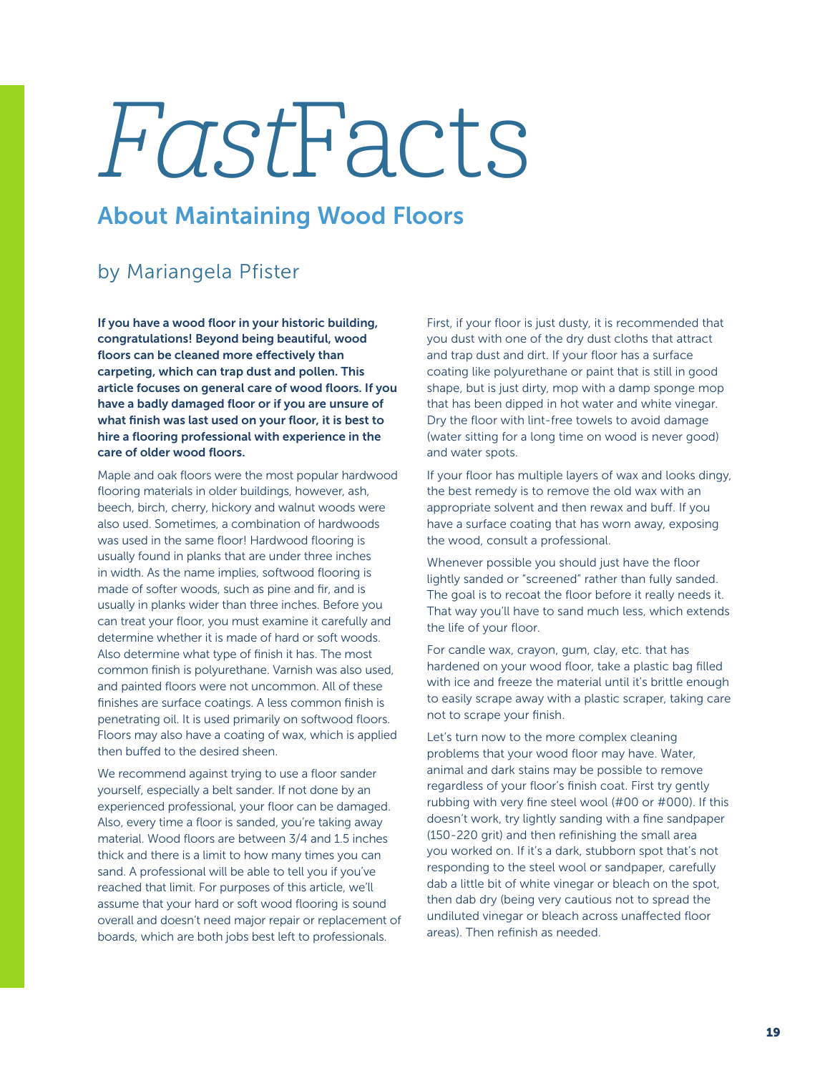## FastFacts

## About Maintaining Wood Floors

## by Mariangela Pfister

If you have a wood floor in your historic building, congratulations! Beyond being beautiful, wood floors can be cleaned more effectively than carpeting, which can trap dust and pollen. This article focuses on general care of wood floors. If you have a badly damaged floor or if you are unsure of what finish was last used on your floor, it is best to hire a flooring professional with experience in the care of older wood floors.

Maple and oak floors were the most popular hardwood flooring materials in older buildings, however, ash, beech, birch, cherry, hickory and walnut woods were also used. Sometimes, a combination of hardwoods was used in the same floor! Hardwood flooring is usually found in planks that are under three inches in width. As the name implies, softwood flooring is made of softer woods, such as pine and fir, and is usually in planks wider than three inches. Before you can treat your floor, you must examine it carefully and determine whether it is made of hard or soft woods. Also determine what type of finish it has. The most common finish is polyurethane. Varnish was also used, and painted floors were not uncommon. All of these finishes are surface coatings. A less common finish is penetrating oil. It is used primarily on softwood floors. Floors may also have a coating of wax, which is applied then buffed to the desired sheen.

We recommend against trying to use a floor sander yourself, especially a belt sander. If not done by an experienced professional, your floor can be damaged. Also, every time a floor is sanded, you're taking away material. Wood floors are between 3/4 and 1.5 inches thick and there is a limit to how many times you can sand. A professional will be able to tell you if you've reached that limit. For purposes of this article, we'll assume that your hard or soft wood flooring is sound overall and doesn't need major repair or replacement of boards, which are both jobs best left to professionals.

First, if your floor is just dusty, it is recommended that you dust with one of the dry dust cloths that attract and trap dust and dirt. If your floor has a surface coating like polyurethane or paint that is still in good shape, but is just dirty, mop with a damp sponge mop that has been dipped in hot water and white vinegar. Dry the floor with lint-free towels to avoid damage (water sitting for a long time on wood is never good) and water spots.

If your floor has multiple layers of wax and looks dingy, the best remedy is to remove the old wax with an appropriate solvent and then rewax and buff. If you have a surface coating that has worn away, exposing the wood, consult a professional.

Whenever possible you should just have the floor lightly sanded or "screened" rather than fully sanded. The goal is to recoat the floor before it really needs it. That way you'll have to sand much less, which extends the life of your floor.

For candle wax, crayon, gum, clay, etc. that has hardened on your wood floor, take a plastic bag filled with ice and freeze the material until it's brittle enough to easily scrape away with a plastic scraper, taking care not to scrape your finish.

Let's turn now to the more complex cleaning problems that your wood floor may have. Water, animal and dark stains may be possible to remove regardless of your floor's finish coat. First try gently rubbing with very fine steel wool (#00 or #000). If this doesn't work, try lightly sanding with a fine sandpaper (150-220 grit) and then refinishing the small area you worked on. If it's a dark, stubborn spot that's not responding to the steel wool or sandpaper, carefully dab a little bit of white vinegar or bleach on the spot, then dab dry (being very cautious not to spread the undiluted vinegar or bleach across unaffected floor areas). Then refinish as needed.